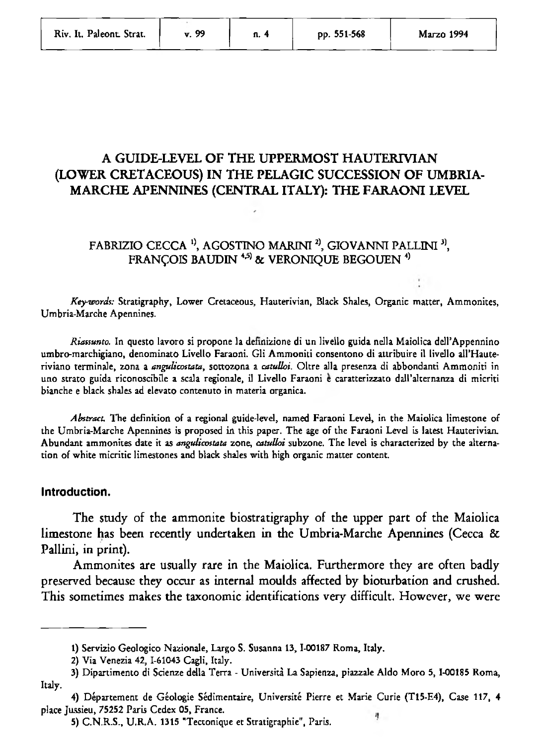# **A GUIDE-LEVEL OF THE UPPERMOST HAUTERTVIAN (LOWER CRETACEOUS) IN THE PELAGIC SUCCESSION OF UMBRIA-MARCHE APENNINES (CENTRAL ITALY): THE FARAONI LEVEL**

# FABRIZIO CECCA<sup>1</sup>, AGOSTINO MARINI<sup>2</sup>, GIOVANNI PALLINI<sup>3</sup>, **FRANCOIS BAUDIN <sup>4,5)</sup> & VERONIOUE BEGOUEN<sup>4</sup>**

*Key-w ords:* Stratigraphy, Lower Cretaceous, Hauterivian, Black Shales, Organic matter, Ammonites, Umbria-Marche Apennines.

*Riassunto.* In questo lavoro si propone la defmizione di un livello guida nella Maiolica dell'Appennino umbro-marchigiano, denominato Livello Faraoni. Gli Ammoniti consentono di attribuire il livello all'Hauteriviano terminale, zona a *angulicostata,* sottozona a *catulloi.* Oltre alia presenza di abbondanti Ammoniti in uno strato guida riconoscibile a scala regionale, il Livello Faraoni è caratterizzato dall'alternanza di micriti bianche e black shales ad elevato contenuto in materia organica.

*Abstract.* The definition of a regional guide-level, named Faraoni Level, in the Maiolica limestone of the Umbria-Marche Apennines is proposed in this paper. The age of the Faraoni Level is latest Hauterivian. Abundant ammonites date it as *angulicostata* zone, *catulloi* subzone. The level is characterized by the alternation of white micritic limestones and black shales with high organic matter content.

#### **Introduction.**

The study of the ammonite biostratigraphy of the upper part of the Maiolica limestone has been recently undertaken in the Umbria-Marche Apennines (Cecca & Pallini, in print).

Ammonites are usually rare in the Maiolica. Furthermore they are often badly preserved because they occur as internal moulds affected by bioturbation and crushed. This sometimes makes the taxonomic identifications very difficult. However, we were

<sup>1)</sup> Servizio Geologico Nazionale, Largo S. Susanna 13, 1-00187 Roma, Italy.

<sup>2)</sup> Via Venezia 42, 1-61043 Cagli, Italy.

<sup>3)</sup> Dipartimento di Scienze della Terra - Università La Sapienza, piazzale Aldo Moro 5, I-00185 Roma, Italy.

<sup>4)</sup> Département de Géologie Sédimentaire, Université Pierre et Marie Curie (T15-E4), Case 117, 4 place Jussieu, 75252 Paris Cedex 05, France. ŋ

<sup>5)</sup> C.N .R.S., U .R.A. 1315 "Tectonique et Stratigraphie", Paris.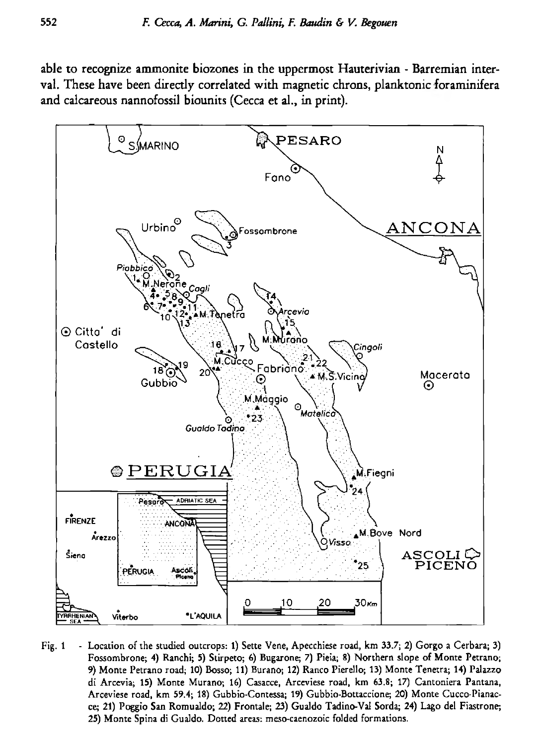able to recognize ammonite biozones in the uppermost Hauterivian - Barremian interval. These have been directly correlated with magnetic chrons, planktonic foraminifera and calcareous nannofossil biounits (Cecca et al., in print).



Fig. 1 - Location of the studied outcrops: 1) Sette Vene, Apecchiese road, km 33.7; 2) Gorgo a Cerbara; 3) Fossombrone; 4) Ranchi; 5) Stirpeto; 6) Bugarone; 7) Pieia; 8) Northern slope of Monte Petrano; 9) Monte Petrano road; 10) Bosso; 11) Burano; 12) Raneo Pierello; 13) Monte Tenetra; 14) Palazzo di Arcevia; 15) Monte Murano; 16) Casacce, Arceviese road, km 63.8; 17) Cantoniera Pantana, Arceviese road, km 59.4; 18) Gubbio-Contessa; 19) Gubbio-Bottaccione; 20) Monte Cucco-Pianacce; 21) Poggio San Romualdo; 22) Frontale; 23) Gualdo Tadino-Val Sorda; 24) Lago del Fiascrone; 25) Monte Spina di Gualdo. Dotted areas: meso-caenozoic folded formations.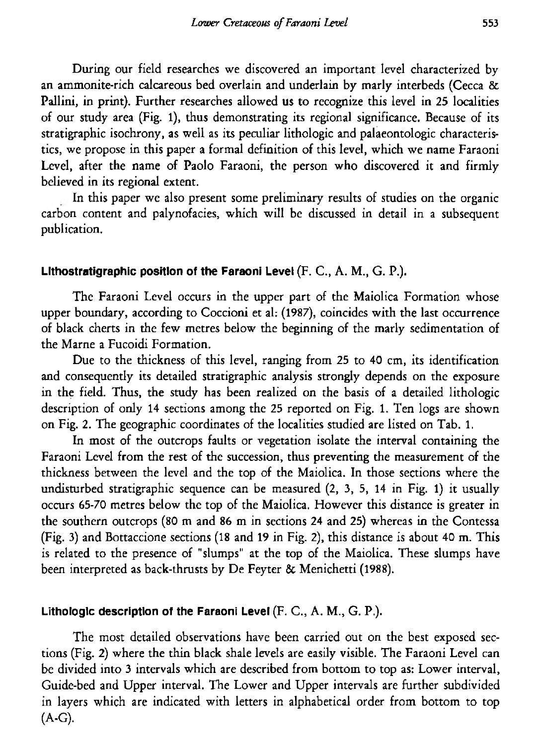During our field researches we discovered an important level characterized by an ammonite-rich calcareous bed overlain and underlain by marly interbeds (Cecca & Pallini, in print). Further researches allowed us to recognize this level in 25 localities of our study area (Fig. 1), thus demonstrating its regional significance. Because of its stratigraphic isochrony, as well as its peculiar lithologic and palaeontologic characteristics, we propose in this paper a formal definition of this level, which we name Faraoni Level, after the name of Paolo Faraoni, the person who discovered it and firmly believed in its regional extent.

In this paper we also present some preliminary results of studies on the organic carbon content and palynofacies, which will be discussed in detail in a subsequent publication.

### **Llthostratigraphic position of the Faraoni Level** (F. C., A. M., G. P.).

The Faraoni Level occurs in the upper part of the Maiolica Formation whose upper boundary, according to Coccioni et al: (1987), coincides with the last occurrence of black cherts in the few metres below the beginning of the marly sedimentation of the Marne a Fucoidi Formation.

Due to the thickness of this level, ranging from 25 to 40 cm, its identification and consequently its detailed stratigraphic analysis strongly depends on the exposure in the field. Thus, the study has been realized on the basis of a detailed lithologic description of only 14 sections among the 25 reported on Fig. 1. Ten logs are shown on Fig. 2. The geographic coordinates of the localities studied are listed on Tab. 1.

In most of the outcrops faults or vegetation isolate the interval containing the Faraoni Level from the rest of the succession, thus preventing the measurement of the thickness between the level and the top of the Maiolica. In those sections where the undisturbed stratigraphic sequence can be measured (2, 3, 5, 14 in Fig. 1) it usually occurs 65-70 metres below the top of the Maiolica, However this distance is greater in the southern outcrops (80 m and 86 m in sections 24 and 25) whereas in the Contessa (Fig. 3) and Bottaccione sections (18 and 19 in Fig. 2), this distance is about 40 m. This is related to the presence of "slumps" at the top of the Maiolica. These slumps have been interpreted as back-thrusts by De Feyter & Menichetti (1988).

# Lithologic description of the Faraoni Level (F. C., A. M., G. P.).

The most detailed observations have been carried out on the best exposed sections (Fig. 2) where the thin black shale levels are easily visible. The Faraoni Level can be divided into 3 intervals which are described from bottom to top as: Lower interval, Guide-bed and Upper interval. The Lower and Upper intervals are further subdivided in layers which are indicated with letters in alphabetical order from bottom to top (A-G).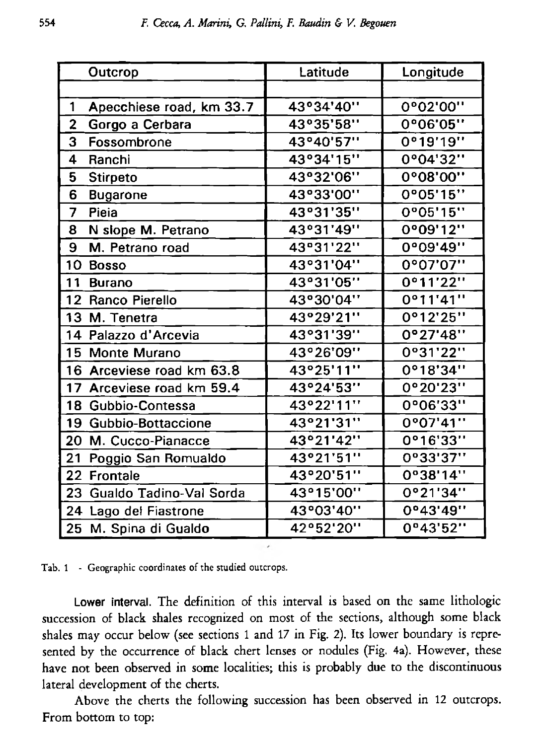| Outcrop                                    | Latitude  | Longitude |  |
|--------------------------------------------|-----------|-----------|--|
|                                            |           |           |  |
| 1<br>Apecchiese road, km 33.7              | 43°34'40" | 0°02'00"  |  |
| $\overline{\mathbf{c}}$<br>Gorgo a Cerbara | 43°35'58" | 0°06'05'' |  |
| 3<br>Fossombrone                           | 43°40'57" | 0°19'19"  |  |
| 4<br>Ranchi                                | 43°34'15" | 0°04'32"  |  |
| 5<br><b>Stirpeto</b>                       | 43°32'06" | 0°08'00"  |  |
| 6<br><b>Bugarone</b>                       | 43°33'00" | 0°05'15"  |  |
| Pieia                                      | 43°31'35" | 0°05'15"  |  |
| 8<br>N slope M. Petrano                    | 43°31'49" | 0°09'12"  |  |
| 9<br>M. Petrano road                       | 43°31'22" | 0°09'49"  |  |
| 10 Bosso                                   | 43°31'04" | 0°07'07"  |  |
| 11<br><b>Burano</b>                        | 43°31'05" | 0°11'22"  |  |
| 12 Ranco Pierello                          | 43°30'04" | 0°11'41"  |  |
| 13 M. Tenetra                              | 43°29'21" | 0°12'25"  |  |
| 14 Palazzo d'Arcevia                       | 43°31'39" | 0°27'48"  |  |
| 15 Monte Murano                            | 43°26'09" | 0°31'22"  |  |
| 16 Arceviese road km 63.8                  | 43°25'11" | 0°18'34"  |  |
| 17 Arceviese road km 59.4                  | 43°24'53" | 0°20'23"  |  |
| 18 Gubbio-Contessa                         | 43°22'11" | 0°06'33"  |  |
| 19 <sub>1</sub><br>Gubbio-Bottaccione      | 43°21'31" | 0°07'41"  |  |
| 20 M. Cucco-Pianacce                       | 43°21'42" | 0°16'33'' |  |
| 21<br>Poggio San Romualdo                  | 43°21'51" | 0°33'37"  |  |
| 22 Frontale                                | 43°20'51" | 0°38'14"  |  |
| 23 Gualdo Tadino-Val Sorda                 | 43°15'00" | 0°21'34"  |  |
| 24 Lago del Fiastrone                      | 43°03'40" | 0°43'49"  |  |
| 25 M. Spina di Gualdo                      | 42°52'20" | 0°43'52"  |  |

Tab. 1 - Geographic coordinates of the studied outcrops.

**Lower interval.** The definition of this interval is based on the same lithologic succession of black shales recognized on most of the sections, although some black shales may occur below (see sections 1 and 17 in Fig. 2). Its lower boundary is represented by the occurrence of black chert lenses or nodules (Fig. 4a). However, these have not been observed in some localities; this is probably due to the discontinuous lateral development of the cherts.

Above the cherts the following succession has been observed in 12 outcrops. From bottom to top: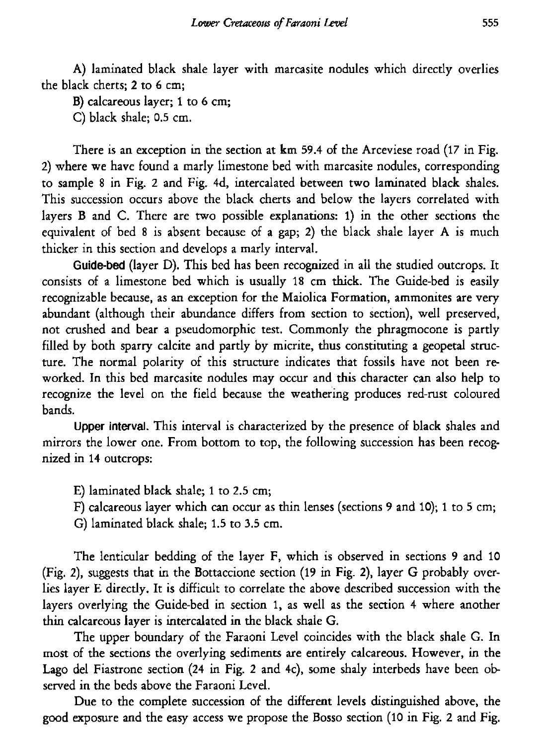A) laminated black shale layer with marcasite nodules which directly overlies the black cherts; 2 to 6 cm;

B) calcareous layer; 1 to 6 cm;

C) black shale; 0.5 cm.

There is an exception in the section at km 59.4 of the Arceviese road (17 in Fig. 2) where we have found a marly limestone bed with marcasite nodules, corresponding to sample 8 in Fig. 2 and Fig. 4d, intercalated between two laminated black shales. This succession occurs above the black cherts and below the layers correlated with layers B and C. There are two possible explanations: 1) in the other sections the equivalent of bed 8 is absent because of a gap; 2) the black shale layer A is much thicker in this section and develops a marly interval.

**Guide-bed** (layer D). This bed has been recognized in all the studied outcrops. It consists of a limestone bed which is usually 18 cm thick. The Guide-bed is easily recognizable because, as an exception for the Maiolica Formation, ammonites are very abundant (although their abundance differs from section to section), well preserved, not crushed and bear a pseudomorphic test. Commonly the phragmocone is partly filled by both sparry calcite and partly by micrite, thus constituting a geopetal structure. The normal polarity of this structure indicates that fossils have not been reworked. In this bed marcasite nodules may occur and this character can also help to recognize the level on the field because the weathering produces red-rust coloured bands.

**Upper interval.** This interval is characterized by the presence of black shales and mirrors the lower one. From bottom to top, the following succession has been recognized in 14 outcrops:

- E) laminated black shale; 1 to 2.5 cm;
- F) calcareous layer which can occur as thin lenses (sections 9 and 10); 1 to 5 cm;
- G) laminated black shale; 1.5 to 3.5 cm.

The lenticular bedding of the layer F, which is observed in sections 9 and 10 (Fig. 2), suggests that in the Bottaccione section (19 in Fig. 2), layer G probably overlies layer E directly. It is difficult to correlate the above described succession with the layers overlying the Guide-bed in section 1, as well as the section 4 where another thin calcareous layer is intercalated in the black shale G.

The upper boundary of the Faraoni Level coincides with the black shale G. In most of the sections the overlying sediments are entirely calcareous. However, in the Lago del Fiastrone section (24 in Fig. 2 and 4c), some shaly interbeds have been observed in the beds above the Faraoni Level.

Due to the complete succession of the different levels distinguished above, the good exposure and the easy access we propose the Bosso section (10 in Fig. 2 and Fig.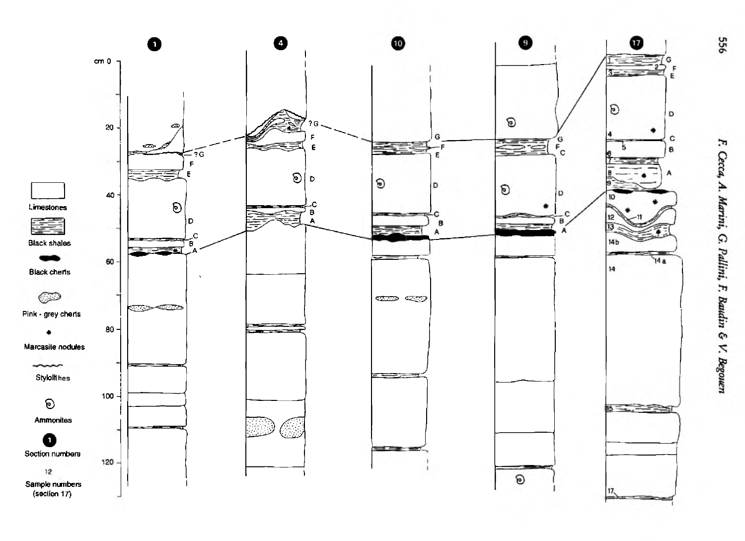

F. Cecca, A. Marini, G. Pallini, F. Baudin & V. Begouen

955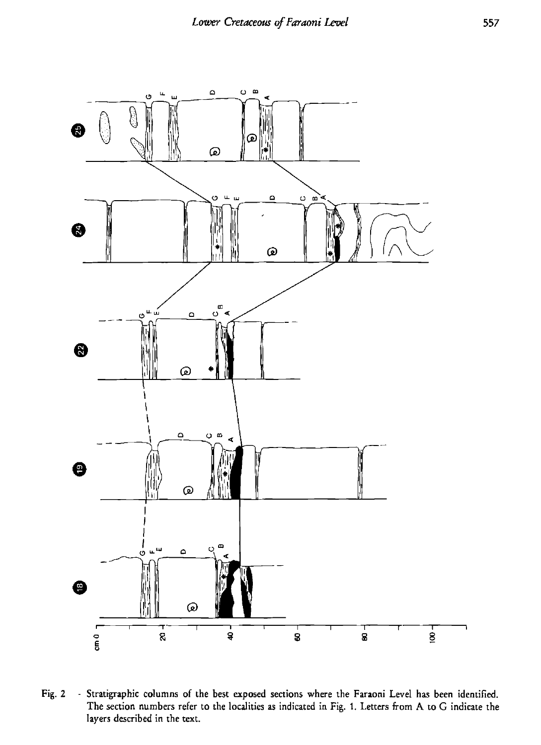

Fig. 2 - Stratigraphic columns of the best exposed sections where the Faraoni Level has been identified. The section numbers refer to the localities as indicated in Fig. 1. Letters from A to G indicate the layers described in the text.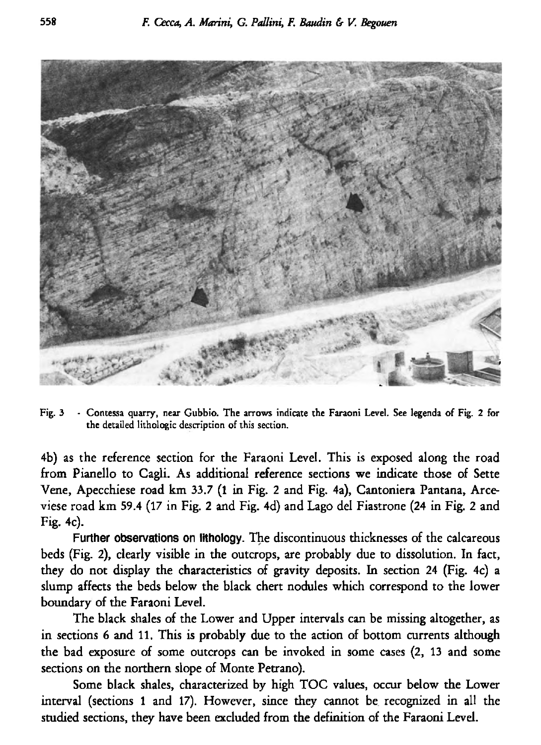

Fig. 3 - Contessa quarry, near Gubbio. The arrows indicate the Faraoni Level. See legenda of Fig. 2 for the detailed lithologic description of this section.

4b) as the reference section for the Faraoni Level. This is exposed along the road from Pianello to Cagli. As additional reference sections we indicate those of Sette Vene, Apecchiese road km 33.7 (1 in Fig. 2 and Fig. 4a), Cantoniera Pantana, Arceviese road km 59.4 (17 in Fig. 2 and Fig. 4d) and Lago del Fiastrone (24 in Fig. 2 and Fig. 4c).

**Further observations on lithology.** The discontinuous thicknesses of the calcareous beds (Fig. 2), clearly visible in the outcrops, are probably due to dissolution. In fact, they do not display the characteristics of gravity deposits. In section 24 (Fig. 4c) a slump affects the beds below the black chert nodules which correspond to the lower boundary of the Faraoni Level.

The black shales of the Lower and Upper intervals can be missing altogether, as in sections 6 and 11. This is probably due to the action of bottom currents although the bad exposure of some outcrops can be invoked in some cases (2, 13 and some sections on the northern slope of Monte Petrano).

Some black shales, characterized by high TOC values, occur below the Lower interval (sections 1 and 17). However, since they cannot be recognized in all the studied sections, they have been excluded from the definition of the Faraoni Level.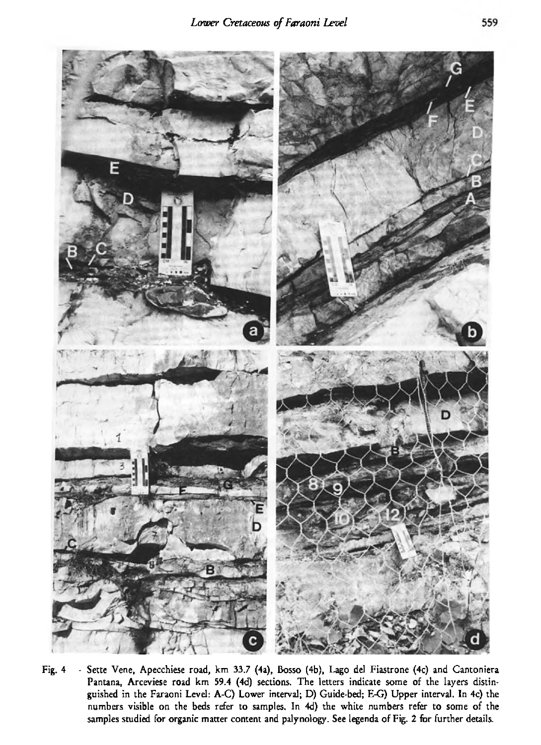

Fig. 4 - Sette Vene, Apecchiese road, km 33.7 (4a), Bosso (4b), Lago del Fiastrone (4c) and Cantoniera Pantana, Arceviese road km 59.4 (4d) sections. The letters indicate some of the layers distinguished in the Faraoni Level: A-C) Lower interval; D) Guide-bed; E-G) Upper interval. In 4c) the numbers visible on the beds refer to samples. In 4d) the white numbers refer to some of the samples studied for organic matter content and palynology. See legenda of Fig. 2 for further details.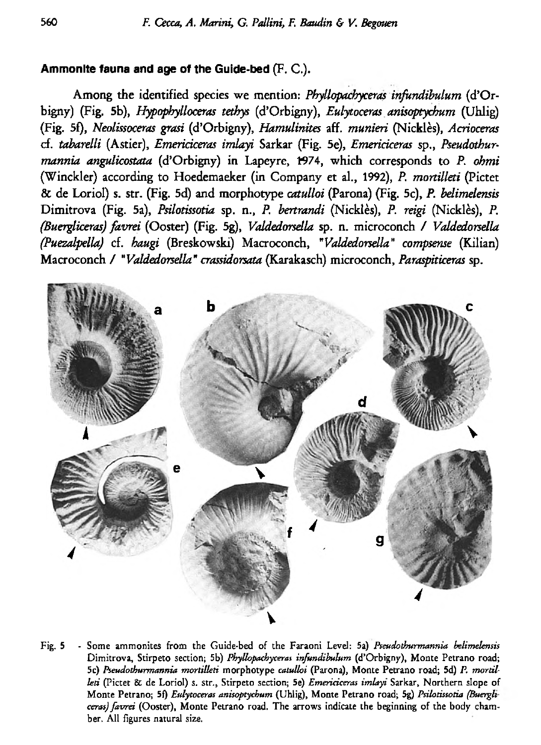### **Ammonite fauna and age of the Guide-bed** (F. C.).

Among the identified species we mention: *Phyllopachyceras infundibulum* (d'Orbigny) (Fig. 5b), *Hypopbylloceras tetbys* (d'Orbigny), *Eulytoceras anisoptychum* (Uhlig) (Fig. 5f), *Neolissoceras grasi* (d'Orbigny), *Hamulinites* aff. *munieri* (Nicklès), *Acrioceras* cf. *tabarelli* (Astier), *Emericiceras indayi* Sarkar (Fig. 5e), *Emeridceras* sp., *Pseudothurmannia angulicostata* (d'Orbigny) in Lapeyre, t974, which corresponds to *P. ohmi* (Winckler) according to Hoedemaeker (in Company et al., 1992), *P. mortilleti* (Pictet & de Loriol) s. str. (Fig. 5d) and morphotype *catulloi* (Parona) (Fig. 5c), *P. belimelensis* Dimitrova (Fig. 5a), *Psilotissotia* sp. n., *P. bertrandi* (Nicklès), *P. reigi* (Nicklès), *P. (Buergliceras) favrei* (Ooster) (Fig. 5g), *Valdedorsdla* sp. n. microconch / *Valdedorsella (Puezalpella)* cf. *haugi* (Breskowski) Macroconch, *"Valdedorsdla*." *compsense* (Kilian) Macroconch / *"Valdedorsella" crassidorsata* (Karakasch) microconch, *Paraspiticeras* sp.



Fig. 5 - Some ammonites from the Guide-bed of the Faraoni Level: 5a) *Pseudothurmannia belimelensis* Dimitrova, Stirpeto section; 5b) *Phyllopachyceras infundibulum* (d'Orbigny), Monte Petrano road; 5c) *Pseudothurm annia m ortilleti* morphotype *catulloi* (Parona), Monte Petrano road; 5d) *P. m ortilled* (Pictet & de Loriol) s. str., Stirpeto section; 5e) *Em ericiceras im layi* Sarkar, Northern slope of Monte Petrano; 5f) *Eulytoceras anisoptychum* (Uhlig), Monte Petrano road; 5g) *Psilotissotia (Buergli ceras) fa v rei* (Ooster), Monte Petrano road. The arrows indicate the beginning of the body chamber. All figures natural size.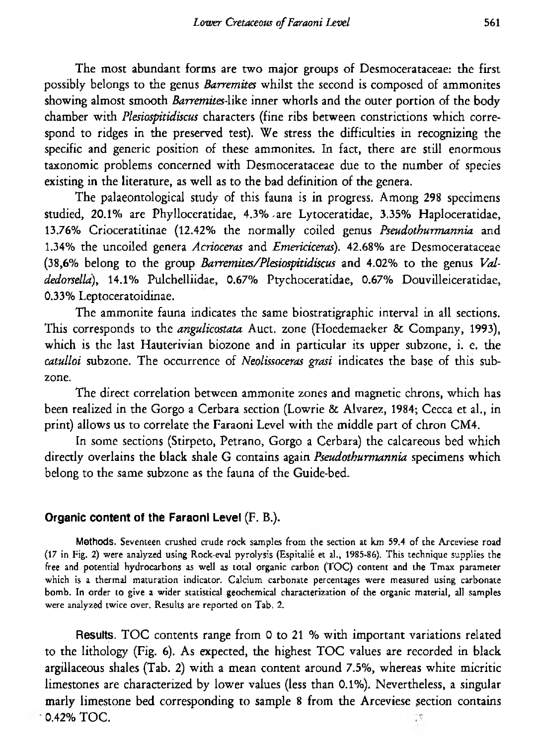The most abundant forms are two major groups of Desmocerataceae: the first possibly belongs to the genus *Barremites* whilst the second is composed of ammonites showing almost smooth *Barremites*-like inner whorls and the outer portion of the body chamber with *Plesiospitidisctis* characters (fine ribs between constrictions which correspond to ridges in the preserved test). We stress the difficulties in recognizing the specific and generic position of these ammonites. In fact, there are still enormous taxonomic problems concerned with Desmocerataceae due to the number of species existing in the literature, as well as to the bad definition of the genera.

The palaeontological study of this fauna is in progress. Among 298 specimens studied, 20.1% are Phylloceratidae, 4.3% are Lytoceratidae, 3.35% Haploceratidae, 13.76% Crioceratitinae (12.42% the normally coiled genus *Pseudothurmannia* and 1.34% the uncoiled genera *Acrioceras* and *Emericiceras).* 42.68% are Desmocerataceae (38,6% belong to the group *Barremites/Plesiospitidiscus* and 4.02% to the genus *Valdedorsella),* 14.1% Pulchelliidae, 0.67% Ptychoceratidae, 0.67% Douvilleiceratidae, 0.33% Leptoceratoidinae.

The ammonite fauna indicates the same biostratigraphic interval in all sections. This corresponds to the *angulicostata* Auct. zone (Hoedemaeker & Company, 1993), which is the last Hauterivian biozone and in particular its upper subzone, i. e. the *catulloi* subzone. The occurrence of *Neolissoceras grasi* indicates the base of this subzone.

The direct correlation between ammonite zones and magnetic chrons, which has been realized in the Gorgo a Cerbara section (Lowrie & Alvarez, 1984; Cecca et al., in print) allows us to correlate the Faraoni Level with the middle part of chron CM4.

In some sections (Stirpeto, Petrano, Gorgo a Cerbara) the calcareous bed which directly overlains the black shale G contains again *Pseudothurmannia* specimens which belong to the same subzone as the fauna of the Guide-bed.

### **Organic content of the Faraoni Level** (F. B.).

Methods. Seventeen crushed crude rock samples from the section at km 59.4 of the Arceviese road (17 in Fig. 2) were analyzed using Rock-eval pyrolysis (Espitalie et al., 1985-86). This technique supplies the free and potential hydrocarbons as well as total organic carbon (TOC) content and the Tmax parameter which is a thermal maturation indicator. Calcium carbonate percentages were measured using carbonate bomb. In order to give a wider statistical geochemical characterization of the organic material, all samples were analyzed twice over. Results are reported on Tab. 2.

Results. TOC contents range from 0 to 21 % with important variations related to the lithology (Fig. 6). As expected, the highest TOC values are recorded in black argillaceous shales (Tab. 2) with a mean content around 7.5%, whereas white micritic limestones are characterized by lower values (less than 0.1%). Nevertheless, a singular marly limestone bed corresponding to sample 8 from the Arceviese section contains  $\cdot$  0.42% TOC.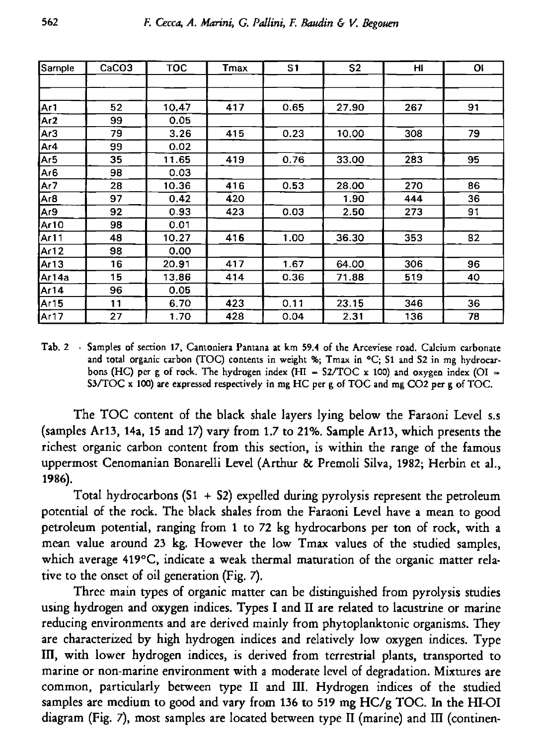| Sample          | CaCO3 | TOC   | Tmax | S <sub>1</sub> | S2    | ні  | ΟI |
|-----------------|-------|-------|------|----------------|-------|-----|----|
|                 |       |       |      |                |       |     |    |
|                 |       |       |      |                |       |     |    |
| Ar1             | 52    | 10.47 | 417  | 0.65           | 27.90 | 267 | 91 |
| Ar <sub>2</sub> | 99    | 0.05  |      |                |       |     |    |
| Ar3             | 79    | 3.26  | 415  | 0.23           | 10.00 | 308 | 79 |
| Ar4             | 99    | 0.02  |      |                |       |     |    |
| Ar5             | 35    | 11.65 | 419  | 0.76           | 33.00 | 283 | 95 |
| Ar <sub>6</sub> | 98    | 0.03  |      |                |       |     |    |
| Ar7             | 28    | 10.36 | 416  | 0.53           | 28.00 | 270 | 86 |
| Ar <sub>8</sub> | 97    | 0.42  | 420  |                | 1.90  | 444 | 36 |
| Ar9             | 92    | 0.93  | 423  | 0.03           | 2.50  | 273 | 91 |
| Ar10            | 98    | 0.01  |      |                |       |     |    |
| Ar11            | 48    | 10.27 | 416  | 1.00           | 36.30 | 353 | 82 |
| Ar12            | 98    | 0.00  |      |                |       |     |    |
| Ar13            | 16    | 20.91 | 417  | 1.67           | 64.00 | 306 | 96 |
| Ar14a           | 15    | 13.86 | 414  | 0.36           | 71.88 | 519 | 40 |
| Ar14            | 96    | 0.05  |      |                |       |     |    |
| Ar15            | 11    | 6.70  | 423  | 0.11           | 23.15 | 346 | 36 |
| <b>Ar17</b>     | 27    | 1.70  | 428  | 0.04           | 2.31  | 136 | 78 |

Tab. 2 - Samples of section 17, Cantoniera Pantana at km 59.4 of the Arceviese road. Calcium carbonate and total organic carbon (TOC) contents in weight %; Tmax in  $\textdegree C$ ; S1 and S2 in mg hydrocarbons (HC) per g of rock. The hydrogen index (HI =  $\Sigma$ /TOC x 100) and oxygen index (OI = S3/TOC x 100) are expressed respectively in mg HC per g of TOC and mg CO2 per g of TOC.

The TOC content of the black shale layers lying below the Faraoni Level s.s (samples Ar13, 14a, 15 and 17) vary from 1.7 to 21%. Sample Ar13, which presents the richest organic carbon content from this section, is within the range of the famous uppermost Cenomanian Bonarelli Level (Arthur 8c Premoli Silva, 1982; Herbin et al., 1986).

Total hydrocarbons  $(S1 + S2)$  expelled during pyrolysis represent the petroleum potential of the rock. The black shales from the Faraoni Level have a mean to good petroleum potential, ranging from 1 to 72 kg hydrocarbons per ton of rock, with a mean value around 23 kg. However the low Tmax values of the studied samples, which average 419°C, indicate a weak thermal maturation of the organic matter relative to the onset of oil generation (Fig. 7).

Three main types of organic matter can be distinguished from pyrolysis studies using hydrogen and oxygen indices. Types I and II are related to lacustrine or marine reducing environments and are derived mainly from phytoplanktonic organisms. They are characterized by high hydrogen indices and relatively low oxygen indices. Type III, with lower hydrogen indices, is derived from terrestrial plants, transported to marine or non-marine environment with a moderate level of degradation. Mixtures are common, particularly between type II and III. Hydrogen indices of the studied samples are medium to good and vary from 136 to 519 mg  $HC/g$  TOC. In the HI-OI diagram (Fig. 7), most samples are located between type II (marine) and III (continen-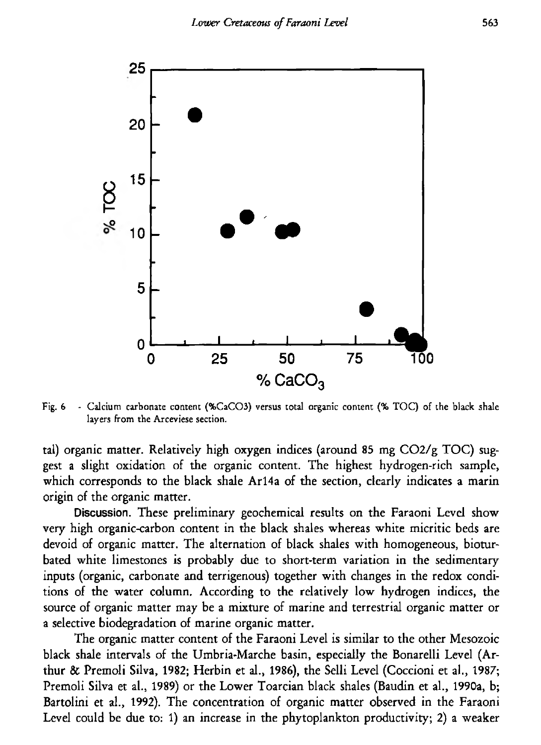

Fig. 6 - Calcium carbonate content (%CaCO3) versus total organic content (% TOC) of the black shale layers from the Arceviese section.

tal) organic matter. Relatively high oxygen indices (around 85 mg  $CO2/g$  TOC) suggest a slight oxidation of the organic content. The highest hydrogen-rich sample, which corresponds to the black shale Arl4a of the section, clearly indicates a marin origin of the organic matter.

**Discussion.** These preliminary geochemical results on the Faraoni Level show very high organic-carbon content in the black shales whereas white micritic beds are devoid of organic matter. The alternation of black shales with homogeneous, bioturbated white limestones is probably due to short-term variation in the sedimentary inputs (organic, carbonate and terrigenous) together with changes in the redox conditions of the water column. According to the relatively low hydrogen indices, the source of organic matter may be a mixture of marine and terrestrial organic matter or a selective biodégradation of marine organic matter.

The organic matter content of the Faraoni Level is similar to the other Mesozoic black shale intervals of the Umbria-Marche basin, especially the Bonarelli Level (Arthur & Premoli Silva, 1982; Herbin et al., 1986), the Selli Level (Coccioni et al., 1987; Premoli Silva et al., 1989) or the Lower Toarcian black shales (Baudin et al., 1990a, b; Bartolini et al., 1992). The concentration of organic matter observed in the Faraoni Level could be due to: 1) an increase in the phytoplankton productivity; 2) a weaker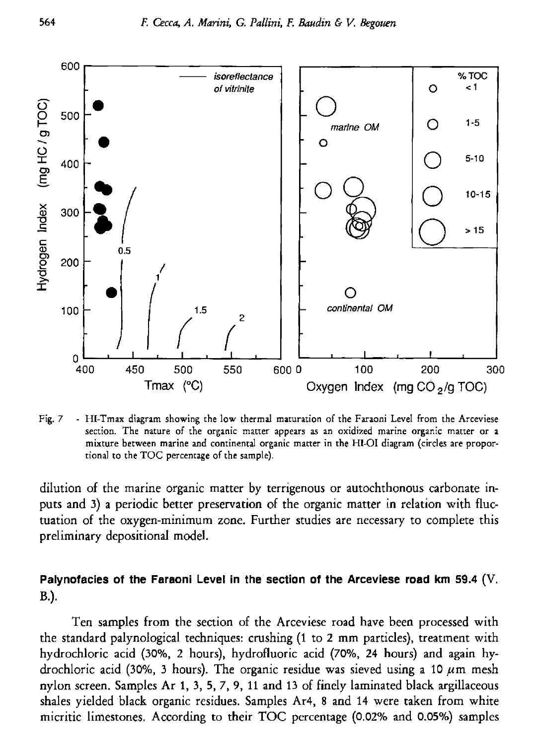

Fig. 7 - HI-Tmax diagram showing the low thermal maturation of the Faraoni Level from the Arceviese section. The nature of the organic matter appears as an oxidized marine organic matter or a mixture between marine and continental organic matter in the HI-OI diagram (circles are proportional to the TOC percentage of the sample).

dilution of the marine organic matter by terrigenous or autochthonous carbonate inputs and 3) a periodic better preservation of the organic matter in relation with fluctuation of the oxygen-minimum zone. Further studies are necessary to complete this preliminary depositional model.

# **Palynofacies of the Faraoni Level in the section of the Arceviese road km 59.4 (V. B.).**

Ten samples from the section of the Arceviese road have been processed with the standard palynological techniques: crushing (1 to 2 mm particles), treatment with hydrochloric acid (30%, 2 hours), hydrofluoric acid (70%, 24 hours) and again hydrochloric acid (30%, 3 hours). The organic residue was sieved using a 10  $\mu$ m mesh nylon screen. Samples Ar 1, 3, 5, 7, 9, 11 and 13 of finely laminated black argillaceous shales yielded black organic residues. Samples Ar4, 8 and 14 were taken from white micritic limestones. According to their TOC percentage (0.02% and 0.05%) samples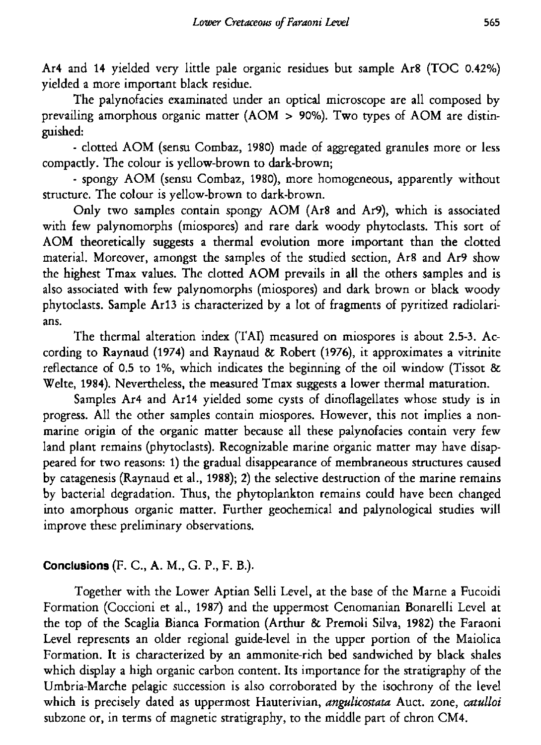Ar4 and 14 yielded very little pale organic residues but sample Ar8 (TOC 0.42%) yielded a more important black residue.

The palynofacies examinated under an optical microscope are all composed by prevailing amorphous organic matter (AOM > 90%). Two types of AOM are distinguished:

- clotted AOM (sensu Combaz, 1980) made of aggregated granules more or less compactly. The colour is yellow-brown to dark-brown;

- spongy AOM (sensu Combaz, 1980), more homogeneous, apparently without structure. The colour is yellow-brown to dark-brown.

Only two samples contain spongy AOM (Ar8 and Ar9), which is associated with few palynomorphs (miospores) and rare dark woody phytoclasts. This sort of AOM theoretically suggests a thermal evolution more important than the clotted material. Moreover, amongst the samples of the studied section, Ar8 and Ar9 show the highest Tmax values. The clotted AOM prevails in all the others samples and is also associated with few palynomorphs (miospores) and dark brown or black woody phytoclasts. Sample Ar13 is characterized by a lot of fragments of pyritized radiolarians.

The thermal alteration index (TAI) measured on miospores is about 2.5-3. According to Raynaud (1974) and Raynaud 8c Robert (1976), it approximates a vitrinite reflectance of 0.5 to 1%, which indicates the beginning of the oil window (Tissot & Welte, 1984). Nevertheless, the measured Tmax suggests a lower thermal maturation.

Samples Ar4 and Ar14 yielded some cysts of dinoflagellates whose study is in progress. All the other samples contain miospores. However, this not implies a nonmarine origin of the organic matter because all these palynofacies contain very few land plant remains (phytoclasts). Recognizable marine organic matter may have disappeared for two reasons: 1) the gradual disappearance of membraneous structures caused by catagenesis (Raynaud et al., 1988); 2) the selective destruction of the marine remains by bacterial degradation. Thus, the phytoplankton remains could have been changed into amorphous organic matter. Further geochemical and palynological studies will improve these preliminary observations.

# **Conclusions** (F. C., A. M., G. P., F. B.).

Together with the Lower Aptian Selli Level, at the base of the Marne a Fucoidi Formation (Coccioni et al., 1987) and the uppermost Cenomanian Bonarelli Level at the top of the Scaglia Bianca Formation (Arthur & Premoli Silva, 1982) the Faraoni Level represents an older regional guide-level in the upper portion of the Maiolica Formation. It is characterized by an ammonite-rich bed sandwiched by black shales which display a high organic carbon content. Its importance for the stratigraphy of the Umbria-Marche pelagic succession is also corroborated by the isochrony of the level which is precisely dated as uppermost Hauterivian, *angulicostata* Auct. zone, *catulloi* subzone or, in terms of magnetic stratigraphy, to the middle part of chron CM4.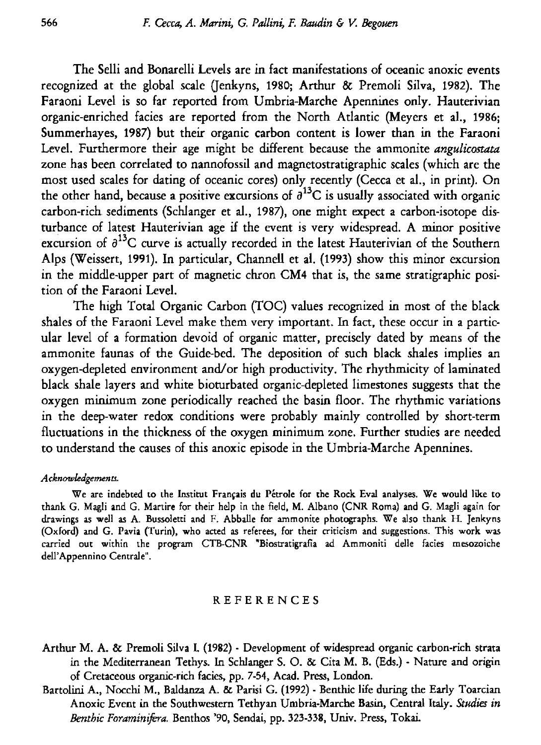The Selli and Bonarelli Levels are in fact manifestations of oceanic anoxie events recognized at the global scale (Jenkyns, 1980; Arthur & Premoli Silva, 1982). The Faraoni Level is so far reported from Umbria-Marche Apennines only. Hauterivian organic-enriched facies are reported from the North Atlantic (Meyers et al., 1986; Summerhayes, 1987) but their organic carbon content is lower than in the Faraoni Level. Furthermore their age might be different because the ammonite *angulicostata* zone has been correlated to nannofossil and magnetostratigraphic scales (which are the most used scales for dating of oceanic cores) only recently (Cecca et al., in print). On the other hand, because a positive excursions of  $\partial^{13}C$  is usually associated with organic carbon-rich sediments (Schlanger et al., 1987), one might expect a carbon-isotope disturbance of latest Hauterivian age if the event is very widespread. A minor positive excursion of  $\partial^{13}C$  curve is actually recorded in the latest Hauterivian of the Southern Alps (Weissert, 1991). In particular, Channell et al. (1993) show this minor excursion in the middle-upper part of magnetic chron CM4 that is, the same stratigraphie position of the Faraoni Level.

The high Total Organic Carbon (TOC) values recognized in most of the black shales of the Faraoni Level make them very important. In fact, these occur in a particular level of a formation devoid of organic matter, precisely dated by means of the ammonite faunas of the Guide-bed. The deposition of such black shales implies an oxygen-depleted environment and/or high productivity. The rhythmicity of laminated black shale layers and white bioturbated organic-depleted limestones suggests that the oxygen minimum zone periodically reached the basin floor. The rhythmic variations in the deep-water redox conditions were probably mainly controlled by short-term fluctuations in the thickness of the oxygen minimum zone. Further studies are needed to understand the causes of this anoxic episode in the Umbria-Marche Apennines.

#### *Acknowledgements.*

We are indebted to the Institut Français du Pétrole for the Rock Eval analyses. We would like to thank G. Magli and G. Martire for their help in the field, M. Albano (CNR Roma) and G. Magli again for drawings as well as A. Bussoletti and F. Abbaile for ammonite photographs. We also thank H. Jenkyns (Oxford) and G. Pavia (Turin), who acted as referees, for their criticism and suggestions. This work was carried out within the program CTB-CNR "Biostratigrafia ad Ammoniti delle facies mesozoiche dell'Appennino Centrale".

### **REFERENCES**

- **Arthur M. A. & Premoli Silva I. (1982) Development of widespread organic carbon-rich strata in the Mediterranean Tethys. In Schlanger S.** O. & **Cita M. B. (Eds.) - Nature and origin of Cretaceous organic-rich facies, pp. 7-54, Acad. Press, London.**
- **Bartolini A., Nocchi M., Baldanza A. & Parisi G. (1992) Benthic life during the Early Toarcian Anoxic Event in the Southwestern Tethyan Umbria-Marche Basin, Central Italy.** *Studies in Benthic Foram inifera.* **Benthos '90, Sendai, pp. 323-338, Univ. Press, Tokai.**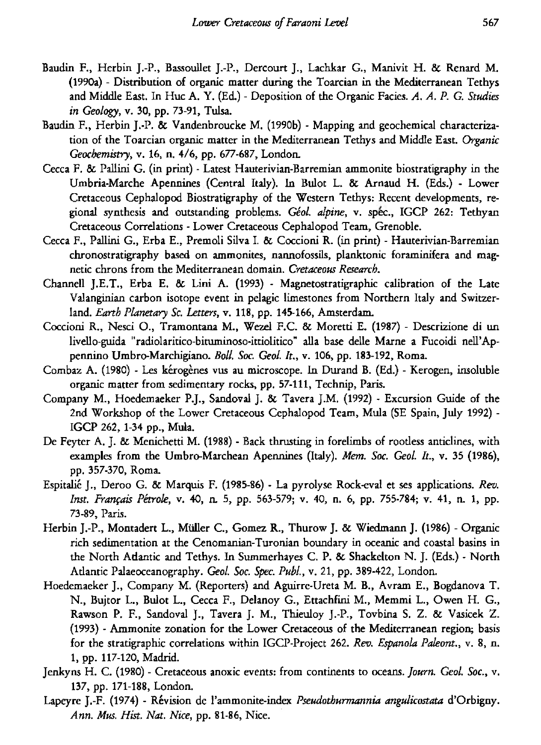- **Baudin F., Herbin J.-P., Bassoullet J.-P., Dercourt J., Lachkar G., Manivit H. & Renard M. (1990a) - Distribution of organic matter during the Toarcian in the Mediterranean Tethys and Middle East. In Hue A. Y. (Ed.) - Deposition of the Organic Facies.** *A. A. P. G. Studies in Geology,* **v. 30, pp. 73-91, Tulsa.**
- **Baudin F., Herbin J.-P. & Vandenbroucke M. (1990b) Mapping and geochemical characterization of the Toarcian organic matter in the Mediterranean Tethys and Middle East.** *Organic Geochem istry***, v. 16, n. 4 /6, pp. 677-687, London.**
- **Cecca F. Sc Pallini G. (in print) Latest Hauterivian-Barremian ammonite biostratigraphy in the Umbria-Marche Apennines (Central Italy). In Bulot L. & Arnaud H. (Eds.) - Lower Cretaceous Cephalopod Biostratigraphy of the Western Tethys: Recent developments, regional synthesis and outstanding problems.** *Géol. alpine,* **v. spec., IGCP 262: Tethyan Cretaceous Correlations - Lower Cretaceous Cephalopod Team, Grenoble.**
- **Cecca F., Pallini G., Erba E., Premoli Silva I. & Coccioni R. (in print) Hauterivian-Barremian chronostratigraphy based on ammonites, nannofossils, planktonic foraminifera and magnetic chrons from the Mediterranean domain.** *Cretaceous Research.*
- Channell J.E.T., Erba E. & Lini A. (1993) Magnetostratigraphic calibration of the Late **Valanginian carbon isotope event in pelagic limestones from Northern Italy and Switzerland.** *Earth Planetary Sc. Letters,* **v. 118, pp. 145-166, Amsterdam.**
- **Coccioni R., Nesci O., Tramontana M., Wezel F.C. & Moretti E. (1987) Descrizione di un livello-guida "radiolaritico-bituminoso-ittiolitico" alia base delle Marne a Fucoidi nell'Appennino Umbro-Marchigiano.** *Boll. Soc. Geol. It.,* **v. 106, pp. 183-192, Roma.**
- **Combaz A. (1980) Les kérogènes vus au microscope. In Durand B. (Ed.) Kerogen, insoluble organic matter from sedimentary rocks, pp. 57-111, Technip, Paris.**
- **Company M., Hoedemaeker P.J., Sandoval J. & Tavera J.M. (1992) Excursion Guide of the 2nd Workshop of the Lower Cretaceous Cephalopod Team, Mula (SE Spain, July 1992) - IGCP 262, 1-34 pp., Mula.**
- **De Feyter A. J. & Menichetti M. (1988) Back thrusting in forelimbs of roodess anticlines, with examples from the Umbro-Marchean Apennines (Italy),** *Mem. Soc. Geol. It.,* **v. 35 (1986), pp. 357-370, Roma.**
- **Espitalié J., Deroo G.** *Sc* **Marquis F. (1985-86) La pyrolyse Rock-eval et ses applications.** *Rev. Inst. Français Pétrole,* **v. 40, n. 5, pp. 563-579; v. 40, n. 6, pp. 755-784; v. 41, n. 1, pp. 73-89, Paris.**
- **Herbin J.-P., Montadert L., Müller C., Gomez R., Thurow J. & Wiedmann J. (1986) Organic rich sedimentation at the Cenomanian-Turonian boundary in oceanic and coastal basins in the North Adantic and Tethys. In Summerhayes C. P. & Shackelton N. J. (Eds.) - North Adantic Palaeoceanography.** *Geol. Soc. Spec. Publ.,* **v. 21, pp. 389-422, London.**
- **Hoedemaeker J., Company M. (Reporters) and Aguirre-Ureta M. B., Avram E., Bogdanova T. N ., Bujtor L., Bulot L., Cecca F., Delanoy G., Ettachfini M., Memmi L., Owen H. G., Rawson P. F., Sandoval J., Tavera J. M., Thieuloy J.-P., Tovbina S. Z. & Vasicek Z. (1993) - Ammonite zonation for the Lower Cretaceous of the Mediterranean region; basis for the stratigraphie correlations within IGCP-Project 262.** *Rev. Española P aleont.,* **v. 8, n. 1, pp. 117-120, Madrid.**
- **Jenkyns H. C. (1980) Cretaceous anoxic events: from continents to oceans.** *Journ. Geol. Soc.,* **v. 137, pp. 171-188, London.**
- **Lapeyre J.-F. (1974) Révision de l'ammonite-index** *Pseudothurmannia angulicostata* **d'Orbigny.** *Ann. Mus. Hist. Nat. N ice,* **pp. 81-86, Nice.**